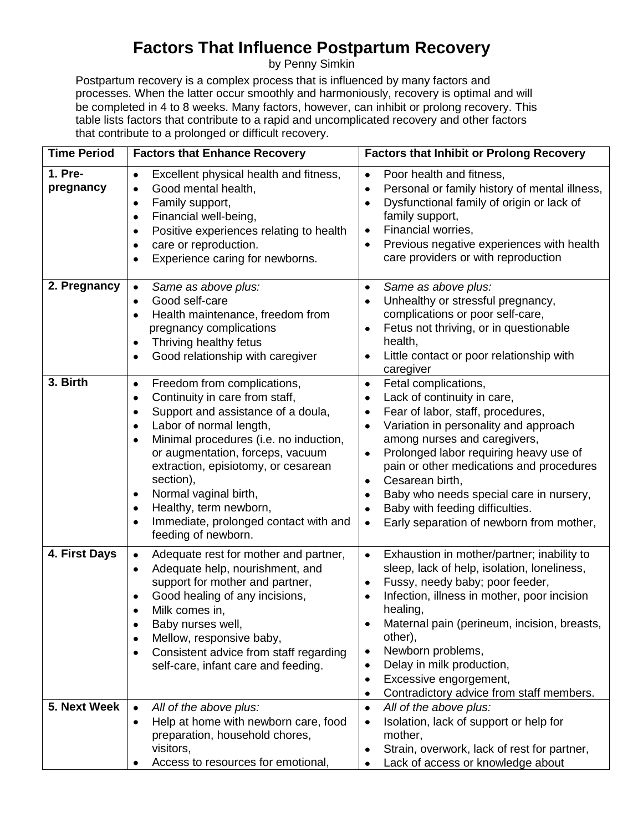## **Factors That Influence Postpartum Recovery**

by Penny Simkin

Postpartum recovery is a complex process that is influenced by many factors and processes. When the latter occur smoothly and harmoniously, recovery is optimal and will be completed in 4 to 8 weeks. Many factors, however, can inhibit or prolong recovery. This table lists factors that contribute to a rapid and uncomplicated recovery and other factors that contribute to a prolonged or difficult recovery.

| <b>Time Period</b>   | <b>Factors that Enhance Recovery</b>                                                                                                                                                                                                                                                                                                                                                                                                                        | <b>Factors that Inhibit or Prolong Recovery</b>                                                                                                                                                                                                                                                                                                                                                                                                                           |
|----------------------|-------------------------------------------------------------------------------------------------------------------------------------------------------------------------------------------------------------------------------------------------------------------------------------------------------------------------------------------------------------------------------------------------------------------------------------------------------------|---------------------------------------------------------------------------------------------------------------------------------------------------------------------------------------------------------------------------------------------------------------------------------------------------------------------------------------------------------------------------------------------------------------------------------------------------------------------------|
| 1. Pre-<br>pregnancy | Excellent physical health and fitness,<br>$\bullet$<br>Good mental health,<br>٠<br>Family support,<br>$\bullet$<br>Financial well-being,<br>٠<br>Positive experiences relating to health<br>$\bullet$<br>care or reproduction.<br>$\bullet$<br>Experience caring for newborns.                                                                                                                                                                              | Poor health and fitness,<br>$\bullet$<br>Personal or family history of mental illness,<br>٠<br>Dysfunctional family of origin or lack of<br>$\bullet$<br>family support,<br>Financial worries,<br>٠<br>Previous negative experiences with health<br>$\bullet$<br>care providers or with reproduction                                                                                                                                                                      |
| 2. Pregnancy         | Same as above plus:<br>$\bullet$<br>Good self-care<br>٠<br>Health maintenance, freedom from<br>$\bullet$<br>pregnancy complications<br>Thriving healthy fetus<br>٠<br>Good relationship with caregiver<br>٠                                                                                                                                                                                                                                                 | Same as above plus:<br>$\bullet$<br>Unhealthy or stressful pregnancy,<br>٠<br>complications or poor self-care,<br>Fetus not thriving, or in questionable<br>٠<br>health,<br>Little contact or poor relationship with<br>٠<br>caregiver                                                                                                                                                                                                                                    |
| 3. Birth             | Freedom from complications,<br>$\bullet$<br>Continuity in care from staff,<br>٠<br>Support and assistance of a doula,<br>٠<br>Labor of normal length,<br>$\bullet$<br>Minimal procedures (i.e. no induction,<br>$\bullet$<br>or augmentation, forceps, vacuum<br>extraction, episiotomy, or cesarean<br>section),<br>Normal vaginal birth,<br>٠<br>Healthy, term newborn,<br>$\bullet$<br>Immediate, prolonged contact with and<br>٠<br>feeding of newborn. | Fetal complications,<br>$\bullet$<br>Lack of continuity in care,<br>$\bullet$<br>Fear of labor, staff, procedures,<br>٠<br>Variation in personality and approach<br>$\bullet$<br>among nurses and caregivers,<br>Prolonged labor requiring heavy use of<br>٠<br>pain or other medications and procedures<br>Cesarean birth,<br>٠<br>Baby who needs special care in nursery,<br>٠<br>Baby with feeding difficulties.<br>٠<br>Early separation of newborn from mother,<br>٠ |
| 4. First Days        | Adequate rest for mother and partner,<br>$\bullet$<br>Adequate help, nourishment, and<br>٠<br>support for mother and partner,<br>Good healing of any incisions,<br>Milk comes in,<br>Baby nurses well,<br>Mellow, responsive baby,<br>٠<br>Consistent advice from staff regarding<br>$\bullet$<br>self-care, infant care and feeding.                                                                                                                       | Exhaustion in mother/partner; inability to<br>٠<br>sleep, lack of help, isolation, loneliness,<br>Fussy, needy baby; poor feeder,<br>٠<br>Infection, illness in mother, poor incision<br>$\bullet$<br>healing,<br>Maternal pain (perineum, incision, breasts,<br>٠<br>other),<br>Newborn problems,<br>٠<br>Delay in milk production,<br>٠<br>Excessive engorgement,<br>٠<br>Contradictory advice from staff members.<br>$\bullet$                                         |
| 5. Next Week         | All of the above plus:<br>$\bullet$<br>Help at home with newborn care, food<br>$\bullet$<br>preparation, household chores,<br>visitors,<br>Access to resources for emotional,                                                                                                                                                                                                                                                                               | All of the above plus:<br>$\bullet$<br>Isolation, lack of support or help for<br>٠<br>mother,<br>Strain, overwork, lack of rest for partner,<br>٠<br>Lack of access or knowledge about                                                                                                                                                                                                                                                                                    |